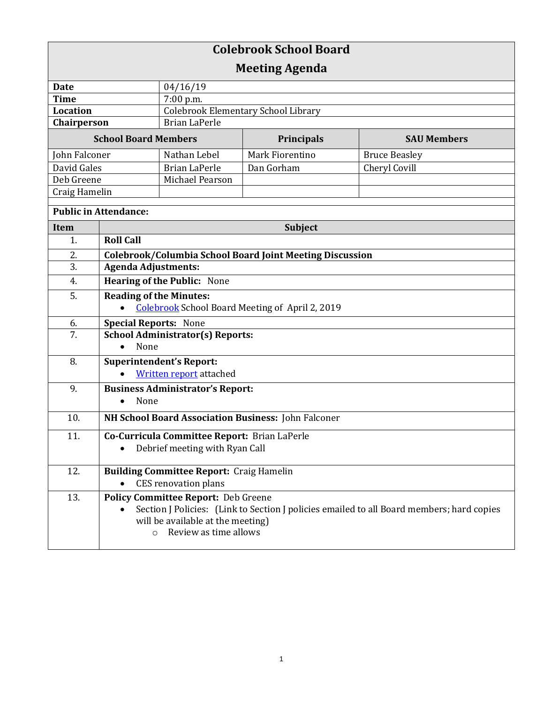| <b>Colebrook School Board</b> |                                                                                                                                                                    |                                                 |                 |                      |  |
|-------------------------------|--------------------------------------------------------------------------------------------------------------------------------------------------------------------|-------------------------------------------------|-----------------|----------------------|--|
| <b>Meeting Agenda</b>         |                                                                                                                                                                    |                                                 |                 |                      |  |
| <b>Date</b>                   |                                                                                                                                                                    | 04/16/19                                        |                 |                      |  |
| <b>Time</b>                   |                                                                                                                                                                    | 7:00 p.m.                                       |                 |                      |  |
| <b>Location</b>               |                                                                                                                                                                    | Colebrook Elementary School Library             |                 |                      |  |
| Chairperson                   |                                                                                                                                                                    | <b>Brian LaPerle</b>                            |                 |                      |  |
| <b>School Board Members</b>   |                                                                                                                                                                    |                                                 | Principals      | <b>SAU Members</b>   |  |
| John Falconer                 |                                                                                                                                                                    | Nathan Lebel                                    | Mark Fiorentino | <b>Bruce Beasley</b> |  |
| David Gales                   |                                                                                                                                                                    | <b>Brian LaPerle</b>                            | Dan Gorham      | Cheryl Covill        |  |
| Deb Greene                    |                                                                                                                                                                    | Michael Pearson                                 |                 |                      |  |
| Craig Hamelin                 |                                                                                                                                                                    |                                                 |                 |                      |  |
| <b>Public in Attendance:</b>  |                                                                                                                                                                    |                                                 |                 |                      |  |
| <b>Item</b>                   | <b>Subject</b>                                                                                                                                                     |                                                 |                 |                      |  |
| 1.                            | <b>Roll Call</b>                                                                                                                                                   |                                                 |                 |                      |  |
| 2.                            | Colebrook/Columbia School Board Joint Meeting Discussion                                                                                                           |                                                 |                 |                      |  |
| 3.                            | <b>Agenda Adjustments:</b>                                                                                                                                         |                                                 |                 |                      |  |
| 4.                            | <b>Hearing of the Public: None</b>                                                                                                                                 |                                                 |                 |                      |  |
| 5.                            | <b>Reading of the Minutes:</b><br><b>Colebrook School Board Meeting of April 2, 2019</b>                                                                           |                                                 |                 |                      |  |
| 6.                            |                                                                                                                                                                    |                                                 |                 |                      |  |
| 7.                            | <b>Special Reports: None</b><br><b>School Administrator(s) Reports:</b>                                                                                            |                                                 |                 |                      |  |
|                               | None                                                                                                                                                               |                                                 |                 |                      |  |
| 8.                            | <b>Superintendent's Report:</b>                                                                                                                                    |                                                 |                 |                      |  |
|                               | <b>Written report attached</b>                                                                                                                                     |                                                 |                 |                      |  |
| 9.                            |                                                                                                                                                                    | <b>Business Administrator's Report:</b>         |                 |                      |  |
|                               | None                                                                                                                                                               |                                                 |                 |                      |  |
| 10.                           | NH School Board Association Business: John Falconer                                                                                                                |                                                 |                 |                      |  |
| 11.                           | Co-Curricula Committee Report: Brian LaPerle                                                                                                                       |                                                 |                 |                      |  |
|                               |                                                                                                                                                                    | Debrief meeting with Ryan Call                  |                 |                      |  |
| 12.                           |                                                                                                                                                                    | <b>Building Committee Report: Craig Hamelin</b> |                 |                      |  |
|                               |                                                                                                                                                                    | <b>CES</b> renovation plans                     |                 |                      |  |
| 13.                           | <b>Policy Committee Report: Deb Greene</b>                                                                                                                         |                                                 |                 |                      |  |
|                               | Section J Policies: (Link to Section J policies emailed to all Board members; hard copies<br>will be available at the meeting)<br>Review as time allows<br>$\circ$ |                                                 |                 |                      |  |